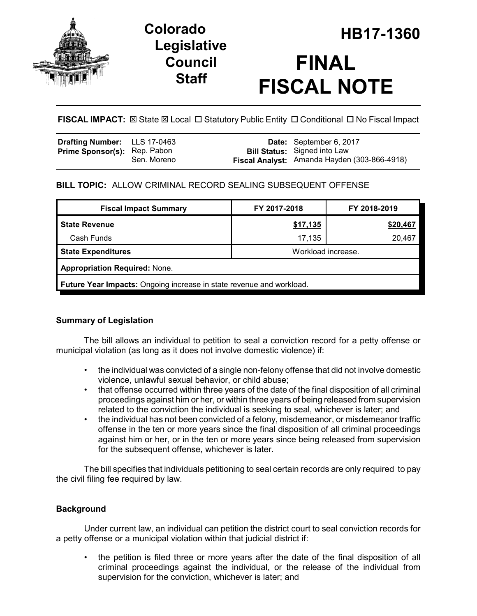

# **Legislative Council Staff**

# **HB17-1360 Colorado FINAL FISCAL NOTE**

**FISCAL IMPACT:**  $\boxtimes$  **State**  $\boxtimes$  **Local □ Statutory Public Entity □ Conditional □ No Fiscal Impact** 

| <b>Drafting Number:</b> LLS 17-0463 |             | Date: September 6, 2017                                                             |
|-------------------------------------|-------------|-------------------------------------------------------------------------------------|
| <b>Prime Sponsor(s): Rep. Pabon</b> | Sen. Moreno | <b>Bill Status:</b> Signed into Law<br>Fiscal Analyst: Amanda Hayden (303-866-4918) |

# **BILL TOPIC:** ALLOW CRIMINAL RECORD SEALING SUBSEQUENT OFFENSE

| <b>Fiscal Impact Summary</b>                                                | FY 2017-2018       | FY 2018-2019 |  |  |  |  |
|-----------------------------------------------------------------------------|--------------------|--------------|--|--|--|--|
| <b>State Revenue</b>                                                        | \$17,135           | \$20,467     |  |  |  |  |
| Cash Funds                                                                  | 17,135             | 20,467       |  |  |  |  |
| <b>State Expenditures</b>                                                   | Workload increase. |              |  |  |  |  |
| <b>Appropriation Required: None.</b>                                        |                    |              |  |  |  |  |
| <b>Future Year Impacts:</b> Ongoing increase in state revenue and workload. |                    |              |  |  |  |  |

## **Summary of Legislation**

The bill allows an individual to petition to seal a conviction record for a petty offense or municipal violation (as long as it does not involve domestic violence) if:

- the individual was convicted of a single non-felony offense that did not involve domestic violence, unlawful sexual behavior, or child abuse;
- that offense occurred within three years of the date of the final disposition of all criminal proceedings against him or her, or within three years of being released from supervision related to the conviction the individual is seeking to seal, whichever is later; and
- the individual has not been convicted of a felony, misdemeanor, or misdemeanor traffic offense in the ten or more years since the final disposition of all criminal proceedings against him or her, or in the ten or more years since being released from supervision for the subsequent offense, whichever is later.

The bill specifies that individuals petitioning to seal certain records are only required to pay the civil filing fee required by law.

## **Background**

Under current law, an individual can petition the district court to seal conviction records for a petty offense or a municipal violation within that judicial district if:

• the petition is filed three or more years after the date of the final disposition of all criminal proceedings against the individual, or the release of the individual from supervision for the conviction, whichever is later; and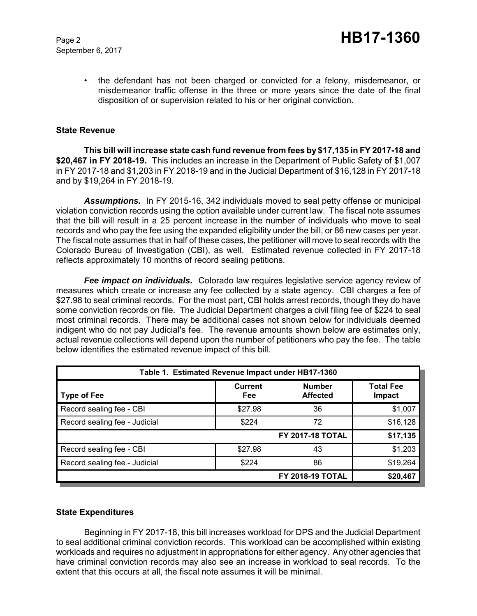September 6, 2017

• the defendant has not been charged or convicted for a felony, misdemeanor, or misdemeanor traffic offense in the three or more years since the date of the final disposition of or supervision related to his or her original conviction.

#### **State Revenue**

**This bill will increase state cash fund revenue from fees by \$17,135 in FY 2017-18 and \$20,467 in FY 2018-19.** This includes an increase in the Department of Public Safety of \$1,007 in FY 2017-18 and \$1,203 in FY 2018-19 and in the Judicial Department of \$16,128 in FY 2017-18 and by \$19,264 in FY 2018-19.

*Assumptions.* In FY 2015-16, 342 individuals moved to seal petty offense or municipal violation conviction records using the option available under current law. The fiscal note assumes that the bill will result in a 25 percent increase in the number of individuals who move to seal records and who pay the fee using the expanded eligibility under the bill, or 86 new cases per year. The fiscal note assumes that in half of these cases, the petitioner will move to seal records with the Colorado Bureau of Investigation (CBI), as well. Estimated revenue collected in FY 2017-18 reflects approximately 10 months of record sealing petitions.

*Fee impact on individuals.* Colorado law requires legislative service agency review of measures which create or increase any fee collected by a state agency. CBI charges a fee of \$27.98 to seal criminal records. For the most part, CBI holds arrest records, though they do have some conviction records on file. The Judicial Department charges a civil filing fee of \$224 to seal most criminal records. There may be additional cases not shown below for individuals deemed indigent who do not pay Judicial's fee. The revenue amounts shown below are estimates only, actual revenue collections will depend upon the number of petitioners who pay the fee. The table below identifies the estimated revenue impact of this bill.

| Table 1. Estimated Revenue Impact under HB17-1360 |                       |                                  |                            |  |  |
|---------------------------------------------------|-----------------------|----------------------------------|----------------------------|--|--|
| <b>Type of Fee</b>                                | <b>Current</b><br>Fee | <b>Number</b><br><b>Affected</b> | <b>Total Fee</b><br>Impact |  |  |
| Record sealing fee - CBI                          | \$27.98               | 36                               | \$1,007                    |  |  |
| Record sealing fee - Judicial                     | \$224                 | 72                               | \$16,128                   |  |  |
|                                                   | \$17,135              |                                  |                            |  |  |
| Record sealing fee - CBI                          | \$27.98               | 43                               | \$1,203                    |  |  |
| Record sealing fee - Judicial                     | \$224                 | 86                               | \$19,264                   |  |  |
|                                                   | \$20,467              |                                  |                            |  |  |

#### **State Expenditures**

Beginning in FY 2017-18, this bill increases workload for DPS and the Judicial Department to seal additional criminal conviction records. This workload can be accomplished within existing workloads and requires no adjustment in appropriations for either agency. Any other agencies that have criminal conviction records may also see an increase in workload to seal records. To the extent that this occurs at all, the fiscal note assumes it will be minimal.